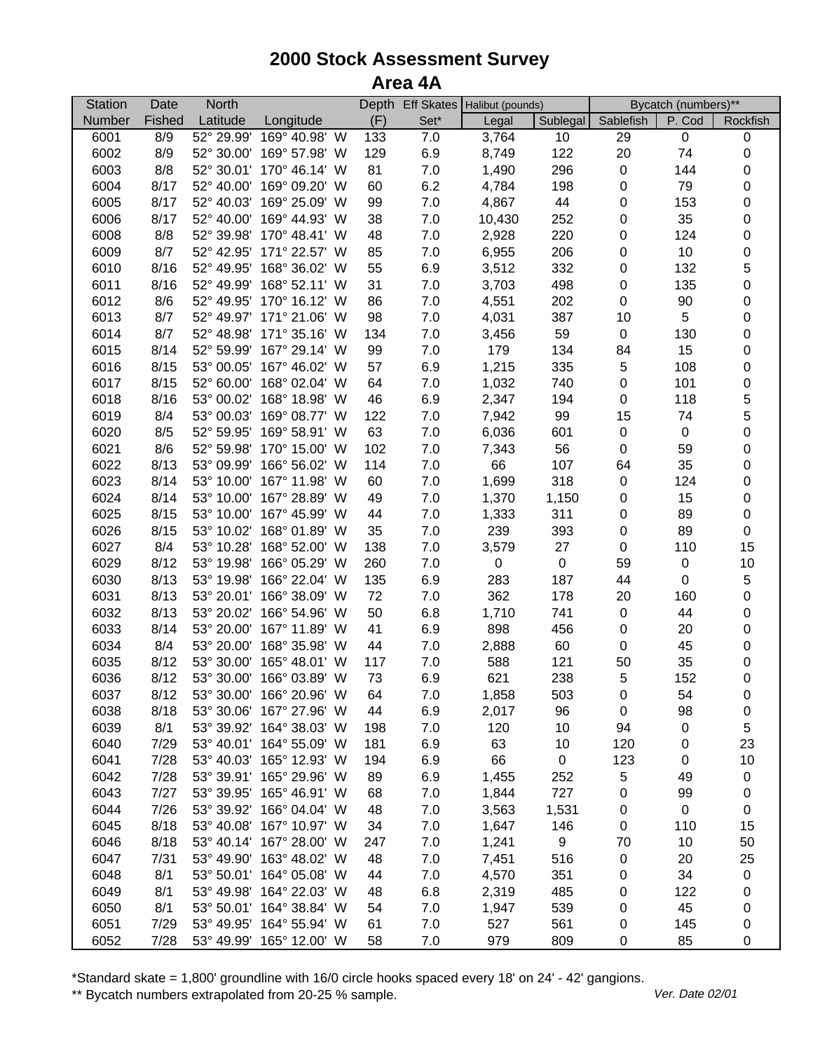## **2000 Stock Assessment Survey Area 4A**

| (F)<br>Fished<br>Latitude<br>Set*<br>Sublegal<br>P. Cod<br>Number<br>Longitude<br>Legal<br>Sablefish<br>Rockfish<br>6001<br>8/9<br>52° 29.99'<br>169° 40.98' W<br>133<br>7.0<br>3,764<br>10<br>29<br>$\mathbf 0$<br>$\pmb{0}$<br>6002<br>8/9<br>6.9<br>122<br>20<br>$\,0\,$<br>52° 30.00' 169° 57.98' W<br>129<br>8,749<br>74<br>6003<br>8/8<br>52° 30.01' 170° 46.14' W<br>81<br>7.0<br>1,490<br>296<br>$\pmb{0}$<br>$\,0\,$<br>144<br>6.2<br>$\mathbf 0$<br>6004<br>8/17<br>52° 40.00' 169° 09.20' W<br>60<br>4,784<br>198<br>$\pmb{0}$<br>79<br>44<br>$\mathbf 0$<br>6005<br>52° 40.03' 169° 25.09' W<br>99<br>7.0<br>4,867<br>0<br>8/17<br>153<br>$\mathbf 0$<br>6006<br>8/17<br>52° 40.00' 169° 44.93' W<br>38<br>7.0<br>252<br>0<br>35<br>10,430<br>$\mathsf 0$<br>6008<br>8/8<br>52° 39.98' 170° 48.41' W<br>48<br>7.0<br>2,928<br>220<br>0<br>124<br>$\mathbf 0$<br>6009<br>8/7<br>52° 42.95' 171° 22.57' W<br>85<br>7.0<br>6,955<br>206<br>0<br>10<br>$\mathbf 5$<br>55<br>3,512<br>8/16<br>52° 49.95' 168° 36.02' W<br>6.9<br>332<br>$\pmb{0}$<br>6010<br>132<br>$\mathbf 0$<br>31<br>8/16<br>52° 49.99' 168° 52.11' W<br>7.0<br>3,703<br>498<br>$\pmb{0}$<br>135<br>6011<br>$\mathbf 0$<br>52° 49.95' 170° 16.12' W<br>86<br>$7.0$<br>4,551<br>202<br>$\pmb{0}$<br>6012<br>8/6<br>90<br>$\mathbf 0$<br>98<br>5<br>6013<br>8/7<br>52° 49.97' 171° 21.06' W<br>$7.0$<br>4,031<br>387<br>10<br>$\mathbf 0$<br>6014<br>8/7<br>52° 48.98' 171° 35.16' W<br>134<br>$7.0$<br>3,456<br>59<br>$\pmb{0}$<br>130<br>$\mathbf 0$<br>6015<br>8/14<br>52° 59.99'<br>167° 29.14' W<br>99<br>7.0<br>179<br>134<br>84<br>15<br>$\mathbf 5$<br>$\mathbf 0$<br>8/15<br>53° 00.05'<br>167° 46.02' W<br>57<br>6.9<br>1,215<br>335<br>108<br>6016<br>$\pmb{0}$<br>$\mathbf 0$<br>8/15<br>52° 60.00'<br>168° 02.04' W<br>64<br>7.0<br>1,032<br>740<br>6017<br>101<br>5<br>8/16<br>53° 00.02'<br>168° 18.98' W<br>46<br>6.9<br>2,347<br>194<br>$\pmb{0}$<br>6018<br>118<br>5<br>8/4<br>169° 08.77' W<br>99<br>15<br>6019<br>53° 00.03'<br>122<br>7.0<br>7,942<br>74<br>$\mathbf 0$<br>63<br>6020<br>8/5<br>52° 59.95'<br>169° 58.91' W<br>7.0<br>6,036<br>601<br>$\pmb{0}$<br>$\mathbf 0$<br>$\mathbf 0$<br>6021<br>8/6<br>52° 59.98' 170° 15.00' W<br>102<br>7.0<br>56<br>$\pmb{0}$<br>7,343<br>59<br>66<br>$\mathbf 0$<br>6022<br>8/13<br>53° 09.99' 166° 56.02' W<br>114<br>7.0<br>107<br>64<br>35<br>$\mathbf 0$<br>6023<br>8/14<br>53° 10.00' 167° 11.98' W<br>60<br>7.0<br>1,699<br>318<br>$\pmb{0}$<br>124<br>$\mathbf 0$<br>6024<br>8/14<br>53° 10.00'<br>167° 28.89' W<br>49<br>7.0<br>1,370<br>0<br>15<br>1,150<br>$\mathbf 0$<br>6025<br>8/15<br>53° 10.00' 167° 45.99' W<br>44<br>7.0<br>1,333<br>311<br>$\pmb{0}$<br>89<br>53° 10.02' 168° 01.89' W<br>35<br>7.0<br>$\pmb{0}$<br>6026<br>8/15<br>239<br>393<br>$\pmb{0}$<br>89<br>53° 10.28' 168° 52.00' W<br>$\pmb{0}$<br>15<br>6027<br>8/4<br>138<br>7.0<br>3,579<br>27<br>110<br>$\mathbf 0$<br>$10$<br>6029<br>8/12<br>53° 19.98' 166° 05.29' W<br>260<br>7.0<br>$\mathbf 0$<br>59<br>$\pmb{0}$<br>$\mathbf 5$<br>6030<br>8/13<br>53° 19.98' 166° 22.04' W<br>135<br>6.9<br>283<br>187<br>44<br>$\pmb{0}$<br>$\mathbf 0$<br>$72\,$<br>6031<br>8/13<br>53° 20.01' 166° 38.09' W<br>$7.0\,$<br>362<br>178<br>20<br>160<br>$\pmb{0}$<br>6032<br>8/13<br>53° 20.02' 166° 54.96' W<br>50<br>6.8<br>1,710<br>741<br>$\pmb{0}$<br>44<br>41<br>$\pmb{0}$<br>6033<br>8/14<br>53° 20.00' 167° 11.89' W<br>6.9<br>898<br>456<br>$\pmb{0}$<br>20<br>6034<br>8/4<br>53° 20.00' 168° 35.98' W<br>44<br>2,888<br>60<br>$\pmb{0}$<br>45<br>$\pmb{0}$<br>7.0<br>6035<br>8/12<br>53° 30.00' 165° 48.01' W<br>7.0<br>588<br>121<br>50<br>35<br>$\,0\,$<br>117<br>$\sqrt{5}$<br>$\pmb{0}$<br>6036<br>8/12<br>53° 30.00' 166° 03.89' W<br>6.9<br>238<br>73<br>621<br>152<br>6037<br>8/12<br>53° 30.00' 166° 20.96' W<br>64<br>7.0<br>1,858<br>503<br>0<br>54<br>0<br>8/18<br>53° 30.06' 167° 27.96' W<br>6.9<br>96<br>6038<br>44<br>2,017<br>0<br>98<br>0<br>8/1<br>53° 39.92' 164° 38.03' W<br>7.0<br>120<br>10<br>94<br>5<br>6039<br>198<br>0<br>7/29<br>6.9<br>63<br>10<br>120<br>23<br>6040<br>53° 40.01' 164° 55.09' W<br>181<br>0<br>6041<br>7/28<br>194<br>6.9<br>66<br>0<br>123<br>10<br>53° 40.03' 165° 12.93' W<br>0<br>5<br>6042<br>7/28<br>53° 39.91' 165° 29.96' W<br>89<br>6.9<br>1,455<br>252<br>49<br>$\pmb{0}$<br>6043<br>7/27<br>53° 39.95' 165° 46.91' W<br>68<br>7.0<br>727<br>0<br>1,844<br>99<br>0<br>6044<br>7/26<br>53° 39.92' 166° 04.04' W<br>48<br>7.0<br>3,563<br>$\pmb{0}$<br>1,531<br>0<br>0<br>6045<br>8/18<br>53° 40.08' 167° 10.97' W<br>34<br>7.0<br>1,647<br>146<br>$\pmb{0}$<br>110<br>15<br>9<br>50<br>6046<br>8/18<br>53° 40.14' 167° 28.00' W<br>7.0<br>1,241<br>70<br>10<br>247<br>6047<br>7/31<br>53° 49.90' 163° 48.02' W<br>48<br>$7.0\,$<br>7,451<br>516<br>$\pmb{0}$<br>25<br>20<br>6048<br>8/1<br>53° 50.01' 164° 05.08' W<br>44<br>7.0<br>4,570<br>351<br>34<br>$\pmb{0}$<br>0<br>6049<br>8/1<br>53° 49.98' 164° 22.03' W<br>48<br>485<br>122<br>6.8<br>2,319<br>0<br>$\pmb{0}$<br>6050<br>8/1<br>53° 50.01' 164° 38.84' W<br>54<br>539<br>45<br>7.0<br>1,947<br>0<br>0<br>6051<br>7/29<br>53° 49.95'<br>164° 55.94' W<br>145<br>61<br>7.0<br>527<br>561<br>0<br>0<br>53° 49.99' 165° 12.00' W | <b>Station</b> | Date | <b>North</b> |    |     | Depth Eff Skates   Halibut (pounds) |     | Bycatch (numbers)** |    |   |
|------------------------------------------------------------------------------------------------------------------------------------------------------------------------------------------------------------------------------------------------------------------------------------------------------------------------------------------------------------------------------------------------------------------------------------------------------------------------------------------------------------------------------------------------------------------------------------------------------------------------------------------------------------------------------------------------------------------------------------------------------------------------------------------------------------------------------------------------------------------------------------------------------------------------------------------------------------------------------------------------------------------------------------------------------------------------------------------------------------------------------------------------------------------------------------------------------------------------------------------------------------------------------------------------------------------------------------------------------------------------------------------------------------------------------------------------------------------------------------------------------------------------------------------------------------------------------------------------------------------------------------------------------------------------------------------------------------------------------------------------------------------------------------------------------------------------------------------------------------------------------------------------------------------------------------------------------------------------------------------------------------------------------------------------------------------------------------------------------------------------------------------------------------------------------------------------------------------------------------------------------------------------------------------------------------------------------------------------------------------------------------------------------------------------------------------------------------------------------------------------------------------------------------------------------------------------------------------------------------------------------------------------------------------------------------------------------------------------------------------------------------------------------------------------------------------------------------------------------------------------------------------------------------------------------------------------------------------------------------------------------------------------------------------------------------------------------------------------------------------------------------------------------------------------------------------------------------------------------------------------------------------------------------------------------------------------------------------------------------------------------------------------------------------------------------------------------------------------------------------------------------------------------------------------------------------------------------------------------------------------------------------------------------------------------------------------------------------------------------------------------------------------------------------------------------------------------------------------------------------------------------------------------------------------------------------------------------------------------------------------------------------------------------------------------------------------------------------------------------------------------------------------------------------------------------------------------------------------------------------------------------------------------------------------------------------------------------------------------------------------------------------------------------------------------------------------------------------------------------------------------------------------------------------------------------------------------------------------------------------------------------------------------------------------------------------------------------------------------------------------------------------------------------------------------------------------------------------------------------------------------------------------------------------------------------------------------------------------------------------------------------------------------------------------------------------------------------------------------------------------------------------------------------------------------------------------------------------------------------------------------------------------------|----------------|------|--------------|----|-----|-------------------------------------|-----|---------------------|----|---|
|                                                                                                                                                                                                                                                                                                                                                                                                                                                                                                                                                                                                                                                                                                                                                                                                                                                                                                                                                                                                                                                                                                                                                                                                                                                                                                                                                                                                                                                                                                                                                                                                                                                                                                                                                                                                                                                                                                                                                                                                                                                                                                                                                                                                                                                                                                                                                                                                                                                                                                                                                                                                                                                                                                                                                                                                                                                                                                                                                                                                                                                                                                                                                                                                                                                                                                                                                                                                                                                                                                                                                                                                                                                                                                                                                                                                                                                                                                                                                                                                                                                                                                                                                                                                                                                                                                                                                                                                                                                                                                                                                                                                                                                                                                                                                                                                                                                                                                                                                                                                                                                                                                                                                                                                                                                                              |                |      |              |    |     |                                     |     |                     |    |   |
|                                                                                                                                                                                                                                                                                                                                                                                                                                                                                                                                                                                                                                                                                                                                                                                                                                                                                                                                                                                                                                                                                                                                                                                                                                                                                                                                                                                                                                                                                                                                                                                                                                                                                                                                                                                                                                                                                                                                                                                                                                                                                                                                                                                                                                                                                                                                                                                                                                                                                                                                                                                                                                                                                                                                                                                                                                                                                                                                                                                                                                                                                                                                                                                                                                                                                                                                                                                                                                                                                                                                                                                                                                                                                                                                                                                                                                                                                                                                                                                                                                                                                                                                                                                                                                                                                                                                                                                                                                                                                                                                                                                                                                                                                                                                                                                                                                                                                                                                                                                                                                                                                                                                                                                                                                                                              |                |      |              |    |     |                                     |     |                     |    |   |
|                                                                                                                                                                                                                                                                                                                                                                                                                                                                                                                                                                                                                                                                                                                                                                                                                                                                                                                                                                                                                                                                                                                                                                                                                                                                                                                                                                                                                                                                                                                                                                                                                                                                                                                                                                                                                                                                                                                                                                                                                                                                                                                                                                                                                                                                                                                                                                                                                                                                                                                                                                                                                                                                                                                                                                                                                                                                                                                                                                                                                                                                                                                                                                                                                                                                                                                                                                                                                                                                                                                                                                                                                                                                                                                                                                                                                                                                                                                                                                                                                                                                                                                                                                                                                                                                                                                                                                                                                                                                                                                                                                                                                                                                                                                                                                                                                                                                                                                                                                                                                                                                                                                                                                                                                                                                              |                |      |              |    |     |                                     |     |                     |    |   |
|                                                                                                                                                                                                                                                                                                                                                                                                                                                                                                                                                                                                                                                                                                                                                                                                                                                                                                                                                                                                                                                                                                                                                                                                                                                                                                                                                                                                                                                                                                                                                                                                                                                                                                                                                                                                                                                                                                                                                                                                                                                                                                                                                                                                                                                                                                                                                                                                                                                                                                                                                                                                                                                                                                                                                                                                                                                                                                                                                                                                                                                                                                                                                                                                                                                                                                                                                                                                                                                                                                                                                                                                                                                                                                                                                                                                                                                                                                                                                                                                                                                                                                                                                                                                                                                                                                                                                                                                                                                                                                                                                                                                                                                                                                                                                                                                                                                                                                                                                                                                                                                                                                                                                                                                                                                                              |                |      |              |    |     |                                     |     |                     |    |   |
|                                                                                                                                                                                                                                                                                                                                                                                                                                                                                                                                                                                                                                                                                                                                                                                                                                                                                                                                                                                                                                                                                                                                                                                                                                                                                                                                                                                                                                                                                                                                                                                                                                                                                                                                                                                                                                                                                                                                                                                                                                                                                                                                                                                                                                                                                                                                                                                                                                                                                                                                                                                                                                                                                                                                                                                                                                                                                                                                                                                                                                                                                                                                                                                                                                                                                                                                                                                                                                                                                                                                                                                                                                                                                                                                                                                                                                                                                                                                                                                                                                                                                                                                                                                                                                                                                                                                                                                                                                                                                                                                                                                                                                                                                                                                                                                                                                                                                                                                                                                                                                                                                                                                                                                                                                                                              |                |      |              |    |     |                                     |     |                     |    |   |
|                                                                                                                                                                                                                                                                                                                                                                                                                                                                                                                                                                                                                                                                                                                                                                                                                                                                                                                                                                                                                                                                                                                                                                                                                                                                                                                                                                                                                                                                                                                                                                                                                                                                                                                                                                                                                                                                                                                                                                                                                                                                                                                                                                                                                                                                                                                                                                                                                                                                                                                                                                                                                                                                                                                                                                                                                                                                                                                                                                                                                                                                                                                                                                                                                                                                                                                                                                                                                                                                                                                                                                                                                                                                                                                                                                                                                                                                                                                                                                                                                                                                                                                                                                                                                                                                                                                                                                                                                                                                                                                                                                                                                                                                                                                                                                                                                                                                                                                                                                                                                                                                                                                                                                                                                                                                              |                |      |              |    |     |                                     |     |                     |    |   |
|                                                                                                                                                                                                                                                                                                                                                                                                                                                                                                                                                                                                                                                                                                                                                                                                                                                                                                                                                                                                                                                                                                                                                                                                                                                                                                                                                                                                                                                                                                                                                                                                                                                                                                                                                                                                                                                                                                                                                                                                                                                                                                                                                                                                                                                                                                                                                                                                                                                                                                                                                                                                                                                                                                                                                                                                                                                                                                                                                                                                                                                                                                                                                                                                                                                                                                                                                                                                                                                                                                                                                                                                                                                                                                                                                                                                                                                                                                                                                                                                                                                                                                                                                                                                                                                                                                                                                                                                                                                                                                                                                                                                                                                                                                                                                                                                                                                                                                                                                                                                                                                                                                                                                                                                                                                                              |                |      |              |    |     |                                     |     |                     |    |   |
|                                                                                                                                                                                                                                                                                                                                                                                                                                                                                                                                                                                                                                                                                                                                                                                                                                                                                                                                                                                                                                                                                                                                                                                                                                                                                                                                                                                                                                                                                                                                                                                                                                                                                                                                                                                                                                                                                                                                                                                                                                                                                                                                                                                                                                                                                                                                                                                                                                                                                                                                                                                                                                                                                                                                                                                                                                                                                                                                                                                                                                                                                                                                                                                                                                                                                                                                                                                                                                                                                                                                                                                                                                                                                                                                                                                                                                                                                                                                                                                                                                                                                                                                                                                                                                                                                                                                                                                                                                                                                                                                                                                                                                                                                                                                                                                                                                                                                                                                                                                                                                                                                                                                                                                                                                                                              |                |      |              |    |     |                                     |     |                     |    |   |
|                                                                                                                                                                                                                                                                                                                                                                                                                                                                                                                                                                                                                                                                                                                                                                                                                                                                                                                                                                                                                                                                                                                                                                                                                                                                                                                                                                                                                                                                                                                                                                                                                                                                                                                                                                                                                                                                                                                                                                                                                                                                                                                                                                                                                                                                                                                                                                                                                                                                                                                                                                                                                                                                                                                                                                                                                                                                                                                                                                                                                                                                                                                                                                                                                                                                                                                                                                                                                                                                                                                                                                                                                                                                                                                                                                                                                                                                                                                                                                                                                                                                                                                                                                                                                                                                                                                                                                                                                                                                                                                                                                                                                                                                                                                                                                                                                                                                                                                                                                                                                                                                                                                                                                                                                                                                              |                |      |              |    |     |                                     |     |                     |    |   |
|                                                                                                                                                                                                                                                                                                                                                                                                                                                                                                                                                                                                                                                                                                                                                                                                                                                                                                                                                                                                                                                                                                                                                                                                                                                                                                                                                                                                                                                                                                                                                                                                                                                                                                                                                                                                                                                                                                                                                                                                                                                                                                                                                                                                                                                                                                                                                                                                                                                                                                                                                                                                                                                                                                                                                                                                                                                                                                                                                                                                                                                                                                                                                                                                                                                                                                                                                                                                                                                                                                                                                                                                                                                                                                                                                                                                                                                                                                                                                                                                                                                                                                                                                                                                                                                                                                                                                                                                                                                                                                                                                                                                                                                                                                                                                                                                                                                                                                                                                                                                                                                                                                                                                                                                                                                                              |                |      |              |    |     |                                     |     |                     |    |   |
|                                                                                                                                                                                                                                                                                                                                                                                                                                                                                                                                                                                                                                                                                                                                                                                                                                                                                                                                                                                                                                                                                                                                                                                                                                                                                                                                                                                                                                                                                                                                                                                                                                                                                                                                                                                                                                                                                                                                                                                                                                                                                                                                                                                                                                                                                                                                                                                                                                                                                                                                                                                                                                                                                                                                                                                                                                                                                                                                                                                                                                                                                                                                                                                                                                                                                                                                                                                                                                                                                                                                                                                                                                                                                                                                                                                                                                                                                                                                                                                                                                                                                                                                                                                                                                                                                                                                                                                                                                                                                                                                                                                                                                                                                                                                                                                                                                                                                                                                                                                                                                                                                                                                                                                                                                                                              |                |      |              |    |     |                                     |     |                     |    |   |
|                                                                                                                                                                                                                                                                                                                                                                                                                                                                                                                                                                                                                                                                                                                                                                                                                                                                                                                                                                                                                                                                                                                                                                                                                                                                                                                                                                                                                                                                                                                                                                                                                                                                                                                                                                                                                                                                                                                                                                                                                                                                                                                                                                                                                                                                                                                                                                                                                                                                                                                                                                                                                                                                                                                                                                                                                                                                                                                                                                                                                                                                                                                                                                                                                                                                                                                                                                                                                                                                                                                                                                                                                                                                                                                                                                                                                                                                                                                                                                                                                                                                                                                                                                                                                                                                                                                                                                                                                                                                                                                                                                                                                                                                                                                                                                                                                                                                                                                                                                                                                                                                                                                                                                                                                                                                              |                |      |              |    |     |                                     |     |                     |    |   |
|                                                                                                                                                                                                                                                                                                                                                                                                                                                                                                                                                                                                                                                                                                                                                                                                                                                                                                                                                                                                                                                                                                                                                                                                                                                                                                                                                                                                                                                                                                                                                                                                                                                                                                                                                                                                                                                                                                                                                                                                                                                                                                                                                                                                                                                                                                                                                                                                                                                                                                                                                                                                                                                                                                                                                                                                                                                                                                                                                                                                                                                                                                                                                                                                                                                                                                                                                                                                                                                                                                                                                                                                                                                                                                                                                                                                                                                                                                                                                                                                                                                                                                                                                                                                                                                                                                                                                                                                                                                                                                                                                                                                                                                                                                                                                                                                                                                                                                                                                                                                                                                                                                                                                                                                                                                                              |                |      |              |    |     |                                     |     |                     |    |   |
|                                                                                                                                                                                                                                                                                                                                                                                                                                                                                                                                                                                                                                                                                                                                                                                                                                                                                                                                                                                                                                                                                                                                                                                                                                                                                                                                                                                                                                                                                                                                                                                                                                                                                                                                                                                                                                                                                                                                                                                                                                                                                                                                                                                                                                                                                                                                                                                                                                                                                                                                                                                                                                                                                                                                                                                                                                                                                                                                                                                                                                                                                                                                                                                                                                                                                                                                                                                                                                                                                                                                                                                                                                                                                                                                                                                                                                                                                                                                                                                                                                                                                                                                                                                                                                                                                                                                                                                                                                                                                                                                                                                                                                                                                                                                                                                                                                                                                                                                                                                                                                                                                                                                                                                                                                                                              |                |      |              |    |     |                                     |     |                     |    |   |
|                                                                                                                                                                                                                                                                                                                                                                                                                                                                                                                                                                                                                                                                                                                                                                                                                                                                                                                                                                                                                                                                                                                                                                                                                                                                                                                                                                                                                                                                                                                                                                                                                                                                                                                                                                                                                                                                                                                                                                                                                                                                                                                                                                                                                                                                                                                                                                                                                                                                                                                                                                                                                                                                                                                                                                                                                                                                                                                                                                                                                                                                                                                                                                                                                                                                                                                                                                                                                                                                                                                                                                                                                                                                                                                                                                                                                                                                                                                                                                                                                                                                                                                                                                                                                                                                                                                                                                                                                                                                                                                                                                                                                                                                                                                                                                                                                                                                                                                                                                                                                                                                                                                                                                                                                                                                              |                |      |              |    |     |                                     |     |                     |    |   |
|                                                                                                                                                                                                                                                                                                                                                                                                                                                                                                                                                                                                                                                                                                                                                                                                                                                                                                                                                                                                                                                                                                                                                                                                                                                                                                                                                                                                                                                                                                                                                                                                                                                                                                                                                                                                                                                                                                                                                                                                                                                                                                                                                                                                                                                                                                                                                                                                                                                                                                                                                                                                                                                                                                                                                                                                                                                                                                                                                                                                                                                                                                                                                                                                                                                                                                                                                                                                                                                                                                                                                                                                                                                                                                                                                                                                                                                                                                                                                                                                                                                                                                                                                                                                                                                                                                                                                                                                                                                                                                                                                                                                                                                                                                                                                                                                                                                                                                                                                                                                                                                                                                                                                                                                                                                                              |                |      |              |    |     |                                     |     |                     |    |   |
|                                                                                                                                                                                                                                                                                                                                                                                                                                                                                                                                                                                                                                                                                                                                                                                                                                                                                                                                                                                                                                                                                                                                                                                                                                                                                                                                                                                                                                                                                                                                                                                                                                                                                                                                                                                                                                                                                                                                                                                                                                                                                                                                                                                                                                                                                                                                                                                                                                                                                                                                                                                                                                                                                                                                                                                                                                                                                                                                                                                                                                                                                                                                                                                                                                                                                                                                                                                                                                                                                                                                                                                                                                                                                                                                                                                                                                                                                                                                                                                                                                                                                                                                                                                                                                                                                                                                                                                                                                                                                                                                                                                                                                                                                                                                                                                                                                                                                                                                                                                                                                                                                                                                                                                                                                                                              |                |      |              |    |     |                                     |     |                     |    |   |
|                                                                                                                                                                                                                                                                                                                                                                                                                                                                                                                                                                                                                                                                                                                                                                                                                                                                                                                                                                                                                                                                                                                                                                                                                                                                                                                                                                                                                                                                                                                                                                                                                                                                                                                                                                                                                                                                                                                                                                                                                                                                                                                                                                                                                                                                                                                                                                                                                                                                                                                                                                                                                                                                                                                                                                                                                                                                                                                                                                                                                                                                                                                                                                                                                                                                                                                                                                                                                                                                                                                                                                                                                                                                                                                                                                                                                                                                                                                                                                                                                                                                                                                                                                                                                                                                                                                                                                                                                                                                                                                                                                                                                                                                                                                                                                                                                                                                                                                                                                                                                                                                                                                                                                                                                                                                              |                |      |              |    |     |                                     |     |                     |    |   |
|                                                                                                                                                                                                                                                                                                                                                                                                                                                                                                                                                                                                                                                                                                                                                                                                                                                                                                                                                                                                                                                                                                                                                                                                                                                                                                                                                                                                                                                                                                                                                                                                                                                                                                                                                                                                                                                                                                                                                                                                                                                                                                                                                                                                                                                                                                                                                                                                                                                                                                                                                                                                                                                                                                                                                                                                                                                                                                                                                                                                                                                                                                                                                                                                                                                                                                                                                                                                                                                                                                                                                                                                                                                                                                                                                                                                                                                                                                                                                                                                                                                                                                                                                                                                                                                                                                                                                                                                                                                                                                                                                                                                                                                                                                                                                                                                                                                                                                                                                                                                                                                                                                                                                                                                                                                                              |                |      |              |    |     |                                     |     |                     |    |   |
|                                                                                                                                                                                                                                                                                                                                                                                                                                                                                                                                                                                                                                                                                                                                                                                                                                                                                                                                                                                                                                                                                                                                                                                                                                                                                                                                                                                                                                                                                                                                                                                                                                                                                                                                                                                                                                                                                                                                                                                                                                                                                                                                                                                                                                                                                                                                                                                                                                                                                                                                                                                                                                                                                                                                                                                                                                                                                                                                                                                                                                                                                                                                                                                                                                                                                                                                                                                                                                                                                                                                                                                                                                                                                                                                                                                                                                                                                                                                                                                                                                                                                                                                                                                                                                                                                                                                                                                                                                                                                                                                                                                                                                                                                                                                                                                                                                                                                                                                                                                                                                                                                                                                                                                                                                                                              |                |      |              |    |     |                                     |     |                     |    |   |
|                                                                                                                                                                                                                                                                                                                                                                                                                                                                                                                                                                                                                                                                                                                                                                                                                                                                                                                                                                                                                                                                                                                                                                                                                                                                                                                                                                                                                                                                                                                                                                                                                                                                                                                                                                                                                                                                                                                                                                                                                                                                                                                                                                                                                                                                                                                                                                                                                                                                                                                                                                                                                                                                                                                                                                                                                                                                                                                                                                                                                                                                                                                                                                                                                                                                                                                                                                                                                                                                                                                                                                                                                                                                                                                                                                                                                                                                                                                                                                                                                                                                                                                                                                                                                                                                                                                                                                                                                                                                                                                                                                                                                                                                                                                                                                                                                                                                                                                                                                                                                                                                                                                                                                                                                                                                              |                |      |              |    |     |                                     |     |                     |    |   |
|                                                                                                                                                                                                                                                                                                                                                                                                                                                                                                                                                                                                                                                                                                                                                                                                                                                                                                                                                                                                                                                                                                                                                                                                                                                                                                                                                                                                                                                                                                                                                                                                                                                                                                                                                                                                                                                                                                                                                                                                                                                                                                                                                                                                                                                                                                                                                                                                                                                                                                                                                                                                                                                                                                                                                                                                                                                                                                                                                                                                                                                                                                                                                                                                                                                                                                                                                                                                                                                                                                                                                                                                                                                                                                                                                                                                                                                                                                                                                                                                                                                                                                                                                                                                                                                                                                                                                                                                                                                                                                                                                                                                                                                                                                                                                                                                                                                                                                                                                                                                                                                                                                                                                                                                                                                                              |                |      |              |    |     |                                     |     |                     |    |   |
|                                                                                                                                                                                                                                                                                                                                                                                                                                                                                                                                                                                                                                                                                                                                                                                                                                                                                                                                                                                                                                                                                                                                                                                                                                                                                                                                                                                                                                                                                                                                                                                                                                                                                                                                                                                                                                                                                                                                                                                                                                                                                                                                                                                                                                                                                                                                                                                                                                                                                                                                                                                                                                                                                                                                                                                                                                                                                                                                                                                                                                                                                                                                                                                                                                                                                                                                                                                                                                                                                                                                                                                                                                                                                                                                                                                                                                                                                                                                                                                                                                                                                                                                                                                                                                                                                                                                                                                                                                                                                                                                                                                                                                                                                                                                                                                                                                                                                                                                                                                                                                                                                                                                                                                                                                                                              |                |      |              |    |     |                                     |     |                     |    |   |
|                                                                                                                                                                                                                                                                                                                                                                                                                                                                                                                                                                                                                                                                                                                                                                                                                                                                                                                                                                                                                                                                                                                                                                                                                                                                                                                                                                                                                                                                                                                                                                                                                                                                                                                                                                                                                                                                                                                                                                                                                                                                                                                                                                                                                                                                                                                                                                                                                                                                                                                                                                                                                                                                                                                                                                                                                                                                                                                                                                                                                                                                                                                                                                                                                                                                                                                                                                                                                                                                                                                                                                                                                                                                                                                                                                                                                                                                                                                                                                                                                                                                                                                                                                                                                                                                                                                                                                                                                                                                                                                                                                                                                                                                                                                                                                                                                                                                                                                                                                                                                                                                                                                                                                                                                                                                              |                |      |              |    |     |                                     |     |                     |    |   |
|                                                                                                                                                                                                                                                                                                                                                                                                                                                                                                                                                                                                                                                                                                                                                                                                                                                                                                                                                                                                                                                                                                                                                                                                                                                                                                                                                                                                                                                                                                                                                                                                                                                                                                                                                                                                                                                                                                                                                                                                                                                                                                                                                                                                                                                                                                                                                                                                                                                                                                                                                                                                                                                                                                                                                                                                                                                                                                                                                                                                                                                                                                                                                                                                                                                                                                                                                                                                                                                                                                                                                                                                                                                                                                                                                                                                                                                                                                                                                                                                                                                                                                                                                                                                                                                                                                                                                                                                                                                                                                                                                                                                                                                                                                                                                                                                                                                                                                                                                                                                                                                                                                                                                                                                                                                                              |                |      |              |    |     |                                     |     |                     |    |   |
|                                                                                                                                                                                                                                                                                                                                                                                                                                                                                                                                                                                                                                                                                                                                                                                                                                                                                                                                                                                                                                                                                                                                                                                                                                                                                                                                                                                                                                                                                                                                                                                                                                                                                                                                                                                                                                                                                                                                                                                                                                                                                                                                                                                                                                                                                                                                                                                                                                                                                                                                                                                                                                                                                                                                                                                                                                                                                                                                                                                                                                                                                                                                                                                                                                                                                                                                                                                                                                                                                                                                                                                                                                                                                                                                                                                                                                                                                                                                                                                                                                                                                                                                                                                                                                                                                                                                                                                                                                                                                                                                                                                                                                                                                                                                                                                                                                                                                                                                                                                                                                                                                                                                                                                                                                                                              |                |      |              |    |     |                                     |     |                     |    |   |
|                                                                                                                                                                                                                                                                                                                                                                                                                                                                                                                                                                                                                                                                                                                                                                                                                                                                                                                                                                                                                                                                                                                                                                                                                                                                                                                                                                                                                                                                                                                                                                                                                                                                                                                                                                                                                                                                                                                                                                                                                                                                                                                                                                                                                                                                                                                                                                                                                                                                                                                                                                                                                                                                                                                                                                                                                                                                                                                                                                                                                                                                                                                                                                                                                                                                                                                                                                                                                                                                                                                                                                                                                                                                                                                                                                                                                                                                                                                                                                                                                                                                                                                                                                                                                                                                                                                                                                                                                                                                                                                                                                                                                                                                                                                                                                                                                                                                                                                                                                                                                                                                                                                                                                                                                                                                              |                |      |              |    |     |                                     |     |                     |    |   |
|                                                                                                                                                                                                                                                                                                                                                                                                                                                                                                                                                                                                                                                                                                                                                                                                                                                                                                                                                                                                                                                                                                                                                                                                                                                                                                                                                                                                                                                                                                                                                                                                                                                                                                                                                                                                                                                                                                                                                                                                                                                                                                                                                                                                                                                                                                                                                                                                                                                                                                                                                                                                                                                                                                                                                                                                                                                                                                                                                                                                                                                                                                                                                                                                                                                                                                                                                                                                                                                                                                                                                                                                                                                                                                                                                                                                                                                                                                                                                                                                                                                                                                                                                                                                                                                                                                                                                                                                                                                                                                                                                                                                                                                                                                                                                                                                                                                                                                                                                                                                                                                                                                                                                                                                                                                                              |                |      |              |    |     |                                     |     |                     |    |   |
|                                                                                                                                                                                                                                                                                                                                                                                                                                                                                                                                                                                                                                                                                                                                                                                                                                                                                                                                                                                                                                                                                                                                                                                                                                                                                                                                                                                                                                                                                                                                                                                                                                                                                                                                                                                                                                                                                                                                                                                                                                                                                                                                                                                                                                                                                                                                                                                                                                                                                                                                                                                                                                                                                                                                                                                                                                                                                                                                                                                                                                                                                                                                                                                                                                                                                                                                                                                                                                                                                                                                                                                                                                                                                                                                                                                                                                                                                                                                                                                                                                                                                                                                                                                                                                                                                                                                                                                                                                                                                                                                                                                                                                                                                                                                                                                                                                                                                                                                                                                                                                                                                                                                                                                                                                                                              |                |      |              |    |     |                                     |     |                     |    |   |
|                                                                                                                                                                                                                                                                                                                                                                                                                                                                                                                                                                                                                                                                                                                                                                                                                                                                                                                                                                                                                                                                                                                                                                                                                                                                                                                                                                                                                                                                                                                                                                                                                                                                                                                                                                                                                                                                                                                                                                                                                                                                                                                                                                                                                                                                                                                                                                                                                                                                                                                                                                                                                                                                                                                                                                                                                                                                                                                                                                                                                                                                                                                                                                                                                                                                                                                                                                                                                                                                                                                                                                                                                                                                                                                                                                                                                                                                                                                                                                                                                                                                                                                                                                                                                                                                                                                                                                                                                                                                                                                                                                                                                                                                                                                                                                                                                                                                                                                                                                                                                                                                                                                                                                                                                                                                              |                |      |              |    |     |                                     |     |                     |    |   |
|                                                                                                                                                                                                                                                                                                                                                                                                                                                                                                                                                                                                                                                                                                                                                                                                                                                                                                                                                                                                                                                                                                                                                                                                                                                                                                                                                                                                                                                                                                                                                                                                                                                                                                                                                                                                                                                                                                                                                                                                                                                                                                                                                                                                                                                                                                                                                                                                                                                                                                                                                                                                                                                                                                                                                                                                                                                                                                                                                                                                                                                                                                                                                                                                                                                                                                                                                                                                                                                                                                                                                                                                                                                                                                                                                                                                                                                                                                                                                                                                                                                                                                                                                                                                                                                                                                                                                                                                                                                                                                                                                                                                                                                                                                                                                                                                                                                                                                                                                                                                                                                                                                                                                                                                                                                                              |                |      |              |    |     |                                     |     |                     |    |   |
|                                                                                                                                                                                                                                                                                                                                                                                                                                                                                                                                                                                                                                                                                                                                                                                                                                                                                                                                                                                                                                                                                                                                                                                                                                                                                                                                                                                                                                                                                                                                                                                                                                                                                                                                                                                                                                                                                                                                                                                                                                                                                                                                                                                                                                                                                                                                                                                                                                                                                                                                                                                                                                                                                                                                                                                                                                                                                                                                                                                                                                                                                                                                                                                                                                                                                                                                                                                                                                                                                                                                                                                                                                                                                                                                                                                                                                                                                                                                                                                                                                                                                                                                                                                                                                                                                                                                                                                                                                                                                                                                                                                                                                                                                                                                                                                                                                                                                                                                                                                                                                                                                                                                                                                                                                                                              |                |      |              |    |     |                                     |     |                     |    |   |
|                                                                                                                                                                                                                                                                                                                                                                                                                                                                                                                                                                                                                                                                                                                                                                                                                                                                                                                                                                                                                                                                                                                                                                                                                                                                                                                                                                                                                                                                                                                                                                                                                                                                                                                                                                                                                                                                                                                                                                                                                                                                                                                                                                                                                                                                                                                                                                                                                                                                                                                                                                                                                                                                                                                                                                                                                                                                                                                                                                                                                                                                                                                                                                                                                                                                                                                                                                                                                                                                                                                                                                                                                                                                                                                                                                                                                                                                                                                                                                                                                                                                                                                                                                                                                                                                                                                                                                                                                                                                                                                                                                                                                                                                                                                                                                                                                                                                                                                                                                                                                                                                                                                                                                                                                                                                              |                |      |              |    |     |                                     |     |                     |    |   |
|                                                                                                                                                                                                                                                                                                                                                                                                                                                                                                                                                                                                                                                                                                                                                                                                                                                                                                                                                                                                                                                                                                                                                                                                                                                                                                                                                                                                                                                                                                                                                                                                                                                                                                                                                                                                                                                                                                                                                                                                                                                                                                                                                                                                                                                                                                                                                                                                                                                                                                                                                                                                                                                                                                                                                                                                                                                                                                                                                                                                                                                                                                                                                                                                                                                                                                                                                                                                                                                                                                                                                                                                                                                                                                                                                                                                                                                                                                                                                                                                                                                                                                                                                                                                                                                                                                                                                                                                                                                                                                                                                                                                                                                                                                                                                                                                                                                                                                                                                                                                                                                                                                                                                                                                                                                                              |                |      |              |    |     |                                     |     |                     |    |   |
|                                                                                                                                                                                                                                                                                                                                                                                                                                                                                                                                                                                                                                                                                                                                                                                                                                                                                                                                                                                                                                                                                                                                                                                                                                                                                                                                                                                                                                                                                                                                                                                                                                                                                                                                                                                                                                                                                                                                                                                                                                                                                                                                                                                                                                                                                                                                                                                                                                                                                                                                                                                                                                                                                                                                                                                                                                                                                                                                                                                                                                                                                                                                                                                                                                                                                                                                                                                                                                                                                                                                                                                                                                                                                                                                                                                                                                                                                                                                                                                                                                                                                                                                                                                                                                                                                                                                                                                                                                                                                                                                                                                                                                                                                                                                                                                                                                                                                                                                                                                                                                                                                                                                                                                                                                                                              |                |      |              |    |     |                                     |     |                     |    |   |
|                                                                                                                                                                                                                                                                                                                                                                                                                                                                                                                                                                                                                                                                                                                                                                                                                                                                                                                                                                                                                                                                                                                                                                                                                                                                                                                                                                                                                                                                                                                                                                                                                                                                                                                                                                                                                                                                                                                                                                                                                                                                                                                                                                                                                                                                                                                                                                                                                                                                                                                                                                                                                                                                                                                                                                                                                                                                                                                                                                                                                                                                                                                                                                                                                                                                                                                                                                                                                                                                                                                                                                                                                                                                                                                                                                                                                                                                                                                                                                                                                                                                                                                                                                                                                                                                                                                                                                                                                                                                                                                                                                                                                                                                                                                                                                                                                                                                                                                                                                                                                                                                                                                                                                                                                                                                              |                |      |              |    |     |                                     |     |                     |    |   |
|                                                                                                                                                                                                                                                                                                                                                                                                                                                                                                                                                                                                                                                                                                                                                                                                                                                                                                                                                                                                                                                                                                                                                                                                                                                                                                                                                                                                                                                                                                                                                                                                                                                                                                                                                                                                                                                                                                                                                                                                                                                                                                                                                                                                                                                                                                                                                                                                                                                                                                                                                                                                                                                                                                                                                                                                                                                                                                                                                                                                                                                                                                                                                                                                                                                                                                                                                                                                                                                                                                                                                                                                                                                                                                                                                                                                                                                                                                                                                                                                                                                                                                                                                                                                                                                                                                                                                                                                                                                                                                                                                                                                                                                                                                                                                                                                                                                                                                                                                                                                                                                                                                                                                                                                                                                                              |                |      |              |    |     |                                     |     |                     |    |   |
|                                                                                                                                                                                                                                                                                                                                                                                                                                                                                                                                                                                                                                                                                                                                                                                                                                                                                                                                                                                                                                                                                                                                                                                                                                                                                                                                                                                                                                                                                                                                                                                                                                                                                                                                                                                                                                                                                                                                                                                                                                                                                                                                                                                                                                                                                                                                                                                                                                                                                                                                                                                                                                                                                                                                                                                                                                                                                                                                                                                                                                                                                                                                                                                                                                                                                                                                                                                                                                                                                                                                                                                                                                                                                                                                                                                                                                                                                                                                                                                                                                                                                                                                                                                                                                                                                                                                                                                                                                                                                                                                                                                                                                                                                                                                                                                                                                                                                                                                                                                                                                                                                                                                                                                                                                                                              |                |      |              |    |     |                                     |     |                     |    |   |
|                                                                                                                                                                                                                                                                                                                                                                                                                                                                                                                                                                                                                                                                                                                                                                                                                                                                                                                                                                                                                                                                                                                                                                                                                                                                                                                                                                                                                                                                                                                                                                                                                                                                                                                                                                                                                                                                                                                                                                                                                                                                                                                                                                                                                                                                                                                                                                                                                                                                                                                                                                                                                                                                                                                                                                                                                                                                                                                                                                                                                                                                                                                                                                                                                                                                                                                                                                                                                                                                                                                                                                                                                                                                                                                                                                                                                                                                                                                                                                                                                                                                                                                                                                                                                                                                                                                                                                                                                                                                                                                                                                                                                                                                                                                                                                                                                                                                                                                                                                                                                                                                                                                                                                                                                                                                              |                |      |              |    |     |                                     |     |                     |    |   |
|                                                                                                                                                                                                                                                                                                                                                                                                                                                                                                                                                                                                                                                                                                                                                                                                                                                                                                                                                                                                                                                                                                                                                                                                                                                                                                                                                                                                                                                                                                                                                                                                                                                                                                                                                                                                                                                                                                                                                                                                                                                                                                                                                                                                                                                                                                                                                                                                                                                                                                                                                                                                                                                                                                                                                                                                                                                                                                                                                                                                                                                                                                                                                                                                                                                                                                                                                                                                                                                                                                                                                                                                                                                                                                                                                                                                                                                                                                                                                                                                                                                                                                                                                                                                                                                                                                                                                                                                                                                                                                                                                                                                                                                                                                                                                                                                                                                                                                                                                                                                                                                                                                                                                                                                                                                                              |                |      |              |    |     |                                     |     |                     |    |   |
|                                                                                                                                                                                                                                                                                                                                                                                                                                                                                                                                                                                                                                                                                                                                                                                                                                                                                                                                                                                                                                                                                                                                                                                                                                                                                                                                                                                                                                                                                                                                                                                                                                                                                                                                                                                                                                                                                                                                                                                                                                                                                                                                                                                                                                                                                                                                                                                                                                                                                                                                                                                                                                                                                                                                                                                                                                                                                                                                                                                                                                                                                                                                                                                                                                                                                                                                                                                                                                                                                                                                                                                                                                                                                                                                                                                                                                                                                                                                                                                                                                                                                                                                                                                                                                                                                                                                                                                                                                                                                                                                                                                                                                                                                                                                                                                                                                                                                                                                                                                                                                                                                                                                                                                                                                                                              |                |      |              |    |     |                                     |     |                     |    |   |
|                                                                                                                                                                                                                                                                                                                                                                                                                                                                                                                                                                                                                                                                                                                                                                                                                                                                                                                                                                                                                                                                                                                                                                                                                                                                                                                                                                                                                                                                                                                                                                                                                                                                                                                                                                                                                                                                                                                                                                                                                                                                                                                                                                                                                                                                                                                                                                                                                                                                                                                                                                                                                                                                                                                                                                                                                                                                                                                                                                                                                                                                                                                                                                                                                                                                                                                                                                                                                                                                                                                                                                                                                                                                                                                                                                                                                                                                                                                                                                                                                                                                                                                                                                                                                                                                                                                                                                                                                                                                                                                                                                                                                                                                                                                                                                                                                                                                                                                                                                                                                                                                                                                                                                                                                                                                              |                |      |              |    |     |                                     |     |                     |    |   |
|                                                                                                                                                                                                                                                                                                                                                                                                                                                                                                                                                                                                                                                                                                                                                                                                                                                                                                                                                                                                                                                                                                                                                                                                                                                                                                                                                                                                                                                                                                                                                                                                                                                                                                                                                                                                                                                                                                                                                                                                                                                                                                                                                                                                                                                                                                                                                                                                                                                                                                                                                                                                                                                                                                                                                                                                                                                                                                                                                                                                                                                                                                                                                                                                                                                                                                                                                                                                                                                                                                                                                                                                                                                                                                                                                                                                                                                                                                                                                                                                                                                                                                                                                                                                                                                                                                                                                                                                                                                                                                                                                                                                                                                                                                                                                                                                                                                                                                                                                                                                                                                                                                                                                                                                                                                                              |                |      |              |    |     |                                     |     |                     |    |   |
|                                                                                                                                                                                                                                                                                                                                                                                                                                                                                                                                                                                                                                                                                                                                                                                                                                                                                                                                                                                                                                                                                                                                                                                                                                                                                                                                                                                                                                                                                                                                                                                                                                                                                                                                                                                                                                                                                                                                                                                                                                                                                                                                                                                                                                                                                                                                                                                                                                                                                                                                                                                                                                                                                                                                                                                                                                                                                                                                                                                                                                                                                                                                                                                                                                                                                                                                                                                                                                                                                                                                                                                                                                                                                                                                                                                                                                                                                                                                                                                                                                                                                                                                                                                                                                                                                                                                                                                                                                                                                                                                                                                                                                                                                                                                                                                                                                                                                                                                                                                                                                                                                                                                                                                                                                                                              |                |      |              |    |     |                                     |     |                     |    |   |
|                                                                                                                                                                                                                                                                                                                                                                                                                                                                                                                                                                                                                                                                                                                                                                                                                                                                                                                                                                                                                                                                                                                                                                                                                                                                                                                                                                                                                                                                                                                                                                                                                                                                                                                                                                                                                                                                                                                                                                                                                                                                                                                                                                                                                                                                                                                                                                                                                                                                                                                                                                                                                                                                                                                                                                                                                                                                                                                                                                                                                                                                                                                                                                                                                                                                                                                                                                                                                                                                                                                                                                                                                                                                                                                                                                                                                                                                                                                                                                                                                                                                                                                                                                                                                                                                                                                                                                                                                                                                                                                                                                                                                                                                                                                                                                                                                                                                                                                                                                                                                                                                                                                                                                                                                                                                              |                |      |              |    |     |                                     |     |                     |    |   |
|                                                                                                                                                                                                                                                                                                                                                                                                                                                                                                                                                                                                                                                                                                                                                                                                                                                                                                                                                                                                                                                                                                                                                                                                                                                                                                                                                                                                                                                                                                                                                                                                                                                                                                                                                                                                                                                                                                                                                                                                                                                                                                                                                                                                                                                                                                                                                                                                                                                                                                                                                                                                                                                                                                                                                                                                                                                                                                                                                                                                                                                                                                                                                                                                                                                                                                                                                                                                                                                                                                                                                                                                                                                                                                                                                                                                                                                                                                                                                                                                                                                                                                                                                                                                                                                                                                                                                                                                                                                                                                                                                                                                                                                                                                                                                                                                                                                                                                                                                                                                                                                                                                                                                                                                                                                                              |                |      |              |    |     |                                     |     |                     |    |   |
|                                                                                                                                                                                                                                                                                                                                                                                                                                                                                                                                                                                                                                                                                                                                                                                                                                                                                                                                                                                                                                                                                                                                                                                                                                                                                                                                                                                                                                                                                                                                                                                                                                                                                                                                                                                                                                                                                                                                                                                                                                                                                                                                                                                                                                                                                                                                                                                                                                                                                                                                                                                                                                                                                                                                                                                                                                                                                                                                                                                                                                                                                                                                                                                                                                                                                                                                                                                                                                                                                                                                                                                                                                                                                                                                                                                                                                                                                                                                                                                                                                                                                                                                                                                                                                                                                                                                                                                                                                                                                                                                                                                                                                                                                                                                                                                                                                                                                                                                                                                                                                                                                                                                                                                                                                                                              |                |      |              |    |     |                                     |     |                     |    |   |
|                                                                                                                                                                                                                                                                                                                                                                                                                                                                                                                                                                                                                                                                                                                                                                                                                                                                                                                                                                                                                                                                                                                                                                                                                                                                                                                                                                                                                                                                                                                                                                                                                                                                                                                                                                                                                                                                                                                                                                                                                                                                                                                                                                                                                                                                                                                                                                                                                                                                                                                                                                                                                                                                                                                                                                                                                                                                                                                                                                                                                                                                                                                                                                                                                                                                                                                                                                                                                                                                                                                                                                                                                                                                                                                                                                                                                                                                                                                                                                                                                                                                                                                                                                                                                                                                                                                                                                                                                                                                                                                                                                                                                                                                                                                                                                                                                                                                                                                                                                                                                                                                                                                                                                                                                                                                              |                |      |              |    |     |                                     |     |                     |    |   |
|                                                                                                                                                                                                                                                                                                                                                                                                                                                                                                                                                                                                                                                                                                                                                                                                                                                                                                                                                                                                                                                                                                                                                                                                                                                                                                                                                                                                                                                                                                                                                                                                                                                                                                                                                                                                                                                                                                                                                                                                                                                                                                                                                                                                                                                                                                                                                                                                                                                                                                                                                                                                                                                                                                                                                                                                                                                                                                                                                                                                                                                                                                                                                                                                                                                                                                                                                                                                                                                                                                                                                                                                                                                                                                                                                                                                                                                                                                                                                                                                                                                                                                                                                                                                                                                                                                                                                                                                                                                                                                                                                                                                                                                                                                                                                                                                                                                                                                                                                                                                                                                                                                                                                                                                                                                                              |                |      |              |    |     |                                     |     |                     |    |   |
|                                                                                                                                                                                                                                                                                                                                                                                                                                                                                                                                                                                                                                                                                                                                                                                                                                                                                                                                                                                                                                                                                                                                                                                                                                                                                                                                                                                                                                                                                                                                                                                                                                                                                                                                                                                                                                                                                                                                                                                                                                                                                                                                                                                                                                                                                                                                                                                                                                                                                                                                                                                                                                                                                                                                                                                                                                                                                                                                                                                                                                                                                                                                                                                                                                                                                                                                                                                                                                                                                                                                                                                                                                                                                                                                                                                                                                                                                                                                                                                                                                                                                                                                                                                                                                                                                                                                                                                                                                                                                                                                                                                                                                                                                                                                                                                                                                                                                                                                                                                                                                                                                                                                                                                                                                                                              |                |      |              |    |     |                                     |     |                     |    |   |
|                                                                                                                                                                                                                                                                                                                                                                                                                                                                                                                                                                                                                                                                                                                                                                                                                                                                                                                                                                                                                                                                                                                                                                                                                                                                                                                                                                                                                                                                                                                                                                                                                                                                                                                                                                                                                                                                                                                                                                                                                                                                                                                                                                                                                                                                                                                                                                                                                                                                                                                                                                                                                                                                                                                                                                                                                                                                                                                                                                                                                                                                                                                                                                                                                                                                                                                                                                                                                                                                                                                                                                                                                                                                                                                                                                                                                                                                                                                                                                                                                                                                                                                                                                                                                                                                                                                                                                                                                                                                                                                                                                                                                                                                                                                                                                                                                                                                                                                                                                                                                                                                                                                                                                                                                                                                              | 6052           | 7/28 |              | 58 | 7.0 | 979                                 | 809 | 0                   | 85 | 0 |

\*Standard skate = 1,800' groundline with 16/0 circle hooks spaced every 18' on 24' - 42' gangions.

\*\* Bycatch numbers extrapolated from 20-25 % sample. We are also asset that the UP of the Material of the Materia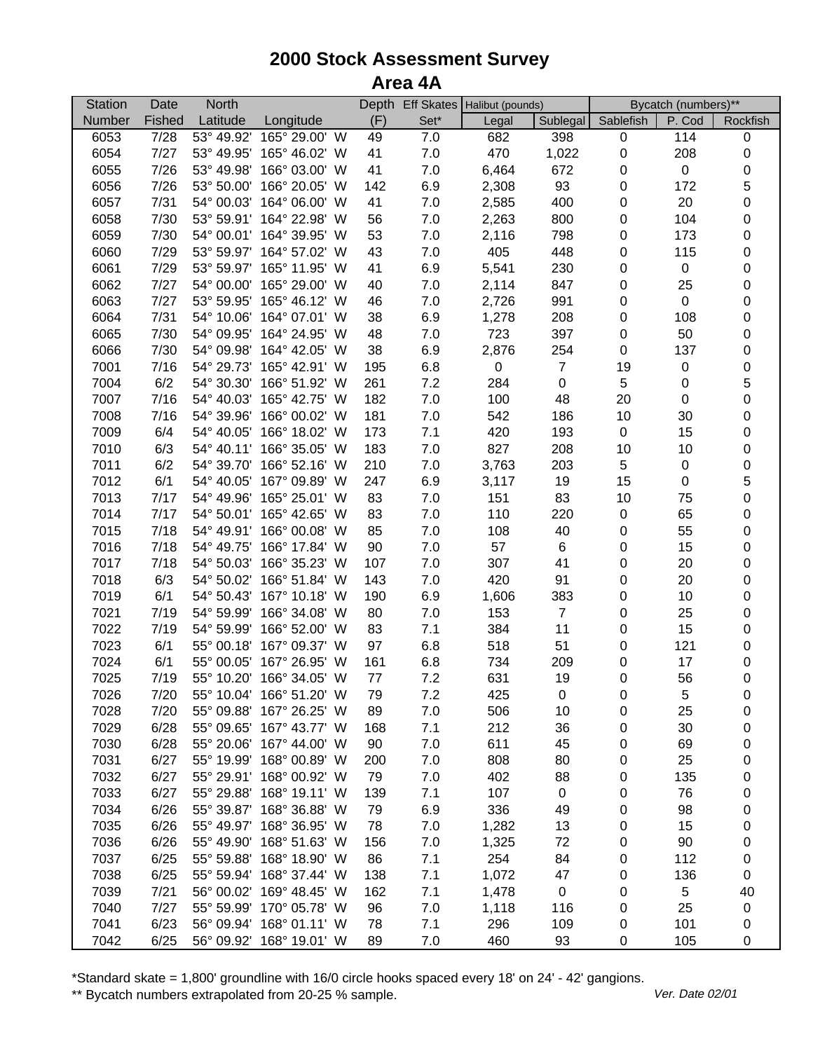## **2000 Stock Assessment Survey Area 4A**

| <b>Station</b> | Date   | <b>North</b> |                          |     |         | Depth Eff Skates Halibut (pounds) |                  | Bycatch (numbers)** |                  |                |
|----------------|--------|--------------|--------------------------|-----|---------|-----------------------------------|------------------|---------------------|------------------|----------------|
| Number         | Fished | Latitude     | Longitude                | (F) | Set*    | Legal                             | Sublegal         | Sablefish           | P. Cod           | Rockfish       |
| 6053           | 7/28   |              | 53° 49.92' 165° 29.00' W | 49  | 7.0     | 682                               | 398              | $\mathbf 0$         | 114              | $\pmb{0}$      |
| 6054           | 7/27   |              | 53° 49.95' 165° 46.02' W | 41  | $7.0$   | 470                               | 1,022            | $\pmb{0}$           | 208              | $\pmb{0}$      |
| 6055           | 7/26   |              | 53° 49.98' 166° 03.00' W | 41  | $7.0$   | 6,464                             | 672              | 0                   | $\boldsymbol{0}$ | $\mathbf 0$    |
| 6056           | 7/26   |              | 53° 50.00' 166° 20.05' W | 142 | 6.9     | 2,308                             | 93               | 0                   | 172              | $\overline{5}$ |
| 6057           | 7/31   |              | 54° 00.03' 164° 06.00' W | 41  | 7.0     | 2,585                             | 400              | 0                   | 20               | $\mathbf 0$    |
| 6058           | 7/30   |              | 53° 59.91' 164° 22.98' W | 56  | 7.0     | 2,263                             | 800              | 0                   | 104              | $\mathbf 0$    |
| 6059           | 7/30   |              | 54° 00.01' 164° 39.95' W | 53  | 7.0     | 2,116                             | 798              | 0                   | 173              | $\pmb{0}$      |
| 6060           | 7/29   |              | 53° 59.97' 164° 57.02' W | 43  | $7.0$   | 405                               | 448              | $\pmb{0}$           | 115              | $\mathbf 0$    |
| 6061           | 7/29   |              | 53° 59.97' 165° 11.95' W | 41  | 6.9     | 5,541                             | 230              | $\pmb{0}$           | 0                | $\mathbf 0$    |
| 6062           | 7/27   |              | 54° 00.00' 165° 29.00' W | 40  | 7.0     | 2,114                             | 847              | $\pmb{0}$           | 25               | $\mathbf 0$    |
| 6063           | 7/27   |              | 53° 59.95' 165° 46.12' W | 46  | $7.0$   | 2,726                             | 991              | $\pmb{0}$           | $\mathbf 0$      | $\mathbf 0$    |
| 6064           | 7/31   |              | 54° 10.06' 164° 07.01' W | 38  | 6.9     | 1,278                             | 208              | $\pmb{0}$           | 108              | $\mathbf 0$    |
| 6065           | 7/30   |              | 54° 09.95' 164° 24.95' W | 48  | $7.0$   | 723                               | 397              | $\pmb{0}$           | 50               | $\mathbf 0$    |
| 6066           | 7/30   | 54° 09.98'   | 164° 42.05' W            | 38  | 6.9     | 2,876                             | 254              | $\pmb{0}$           | 137              | $\mathbf 0$    |
| 7001           | 7/16   | 54° 29.73'   | 165° 42.91' W            | 195 | 6.8     | $\pmb{0}$                         | $\overline{7}$   | 19                  | 0                | $\mathbf 0$    |
| 7004           | 6/2    | 54° 30.30'   | 166° 51.92' W            | 261 | 7.2     | 284                               | $\pmb{0}$        | $\mathbf 5$         | 0                | $\mathbf 5$    |
| 7007           | 7/16   |              | 54° 40.03' 165° 42.75' W | 182 | 7.0     | 100                               | 48               | 20                  | $\pmb{0}$        | $\mathbf 0$    |
| 7008           | 7/16   |              | 54° 39.96' 166° 00.02' W | 181 | 7.0     | 542                               | 186              | 10                  | 30               | $\mathbf 0$    |
| 7009           | 6/4    |              | 54° 40.05' 166° 18.02' W | 173 | 7.1     | 420                               | 193              | $\pmb{0}$           | 15               | $\mathbf 0$    |
| 7010           | 6/3    |              | 54° 40.11' 166° 35.05' W | 183 | 7.0     | 827                               | 208              | 10                  | 10               | $\mathbf 0$    |
| 7011           | 6/2    |              | 54° 39.70' 166° 52.16' W | 210 | 7.0     | 3,763                             | 203              | $\mathbf 5$         | 0                | $\mathbf 0$    |
| 7012           | 6/1    |              | 54° 40.05' 167° 09.89' W | 247 | 6.9     | 3,117                             | 19               | 15                  | $\pmb{0}$        | 5              |
| 7013           | 7/17   |              | 54° 49.96' 165° 25.01' W | 83  | 7.0     | 151                               | 83               | 10                  | 75               | $\mathbf 0$    |
| 7014           | 7/17   |              | 54° 50.01' 165° 42.65' W | 83  | $7.0$   | 110                               | 220              | $\pmb{0}$           | 65               | $\pmb{0}$      |
| 7015           | 7/18   |              | 54° 49.91' 166° 00.08' W | 85  | $7.0$   | 108                               | 40               | 0                   | 55               | $\mathbf 0$    |
| 7016           | 7/18   |              | 54° 49.75' 166° 17.84' W | 90  | $7.0$   | 57                                | 6                | $\pmb{0}$           | 15               | $\mathbf 0$    |
| 7017           | 7/18   |              | 54° 50.03' 166° 35.23' W | 107 | $7.0\,$ | 307                               | 41               | $\pmb{0}$           | 20               | $\pmb{0}$      |
| 7018           | 6/3    |              | 54° 50.02' 166° 51.84' W | 143 | $7.0\,$ | 420                               | 91               | $\pmb{0}$           | 20               | $\mathbf 0$    |
| 7019           | 6/1    |              | 54° 50.43' 167° 10.18' W | 190 | 6.9     | 1,606                             | 383              | $\pmb{0}$           | 10               | $\mathbf 0$    |
| 7021           | 7/19   |              | 54° 59.99' 166° 34.08' W | 80  | $7.0$   | 153                               | $\overline{7}$   | $\pmb{0}$           | 25               | $\pmb{0}$      |
| 7022           | 7/19   | 54° 59.99'   | 166° 52.00' W            | 83  | 7.1     | 384                               | 11               | $\pmb{0}$           | 15               | $\pmb{0}$      |
| 7023           | 6/1    |              | 55° 00.18' 167° 09.37' W | 97  | 6.8     | 518                               | 51               | $\pmb{0}$           | 121              | $\,0\,$        |
| 7024           | 6/1    |              | 55° 00.05' 167° 26.95' W | 161 | 6.8     | 734                               | 209              | $\pmb{0}$           | 17               | $\,0\,$        |
| 7025           | 7/19   |              | 55° 10.20' 166° 34.05' W | 77  | 7.2     | 631                               | 19               | $\pmb{0}$           | 56               | $\pmb{0}$      |
| 7026           | 7/20   |              | 55° 10.04' 166° 51.20' W | 79  | 7.2     | 425                               | $\boldsymbol{0}$ | 0                   | 5                | 0              |
| 7028           | 7/20   |              | 55° 09.88' 167° 26.25' W | 89  | 7.0     | 506                               | 10               | 0                   | 25               | 0              |
| 7029           | 6/28   |              | 55° 09.65' 167° 43.77' W | 168 | 7.1     | 212                               | 36               | 0                   | 30               | 0              |
| 7030           | 6/28   |              | 55° 20.06' 167° 44.00' W | 90  | 7.0     | 611                               | 45               | 0                   | 69               | 0              |
| 7031           | 6/27   |              | 55° 19.99' 168° 00.89' W | 200 | 7.0     | 808                               | 80               | 0                   | 25               | 0              |
| 7032           | 6/27   |              | 55° 29.91' 168° 00.92' W | 79  | 7.0     | 402                               | 88               | 0                   | 135              | 0              |
| 7033           | 6/27   |              | 55° 29.88' 168° 19.11' W | 139 | 7.1     | 107                               | $\pmb{0}$        | 0                   | 76               | 0              |
| 7034           | 6/26   |              | 55° 39.87' 168° 36.88' W | 79  | 6.9     | 336                               | 49               | 0                   | 98               | 0              |
| 7035           | 6/26   |              | 55° 49.97' 168° 36.95' W | 78  | 7.0     | 1,282                             | 13               | 0                   | 15               | 0              |
| 7036           | 6/26   |              | 55° 49.90' 168° 51.63' W | 156 | $7.0$   | 1,325                             | 72               | 0                   | 90               | $\pmb{0}$      |
| 7037           | 6/25   |              | 55° 59.88' 168° 18.90' W | 86  | 7.1     | 254                               | 84               | 0                   | 112              | 0              |
| 7038           | 6/25   |              | 55° 59.94' 168° 37.44' W | 138 | 7.1     | 1,072                             | 47               | 0                   | 136              | $\mathbf 0$    |
| 7039           | 7/21   |              | 56° 00.02' 169° 48.45' W | 162 | 7.1     | 1,478                             | 0                | 0                   | 5                | 40             |
| 7040           | 7/27   |              | 55° 59.99' 170° 05.78' W | 96  | 7.0     | 1,118                             | 116              | 0                   | 25               | $\mathbf 0$    |
| 7041           | 6/23   |              | 56° 09.94' 168° 01.11' W | 78  | 7.1     | 296                               | 109              | 0                   | 101              | 0              |
| 7042           | 6/25   |              | 56° 09.92' 168° 19.01' W | 89  | 7.0     | 460                               | 93               | 0                   | 105              | 0              |

\*Standard skate = 1,800' groundline with 16/0 circle hooks spaced every 18' on 24' - 42' gangions.

\*\* Bycatch numbers extrapolated from 20-25 % sample. We are also asset that the UP of the Material of the Materia